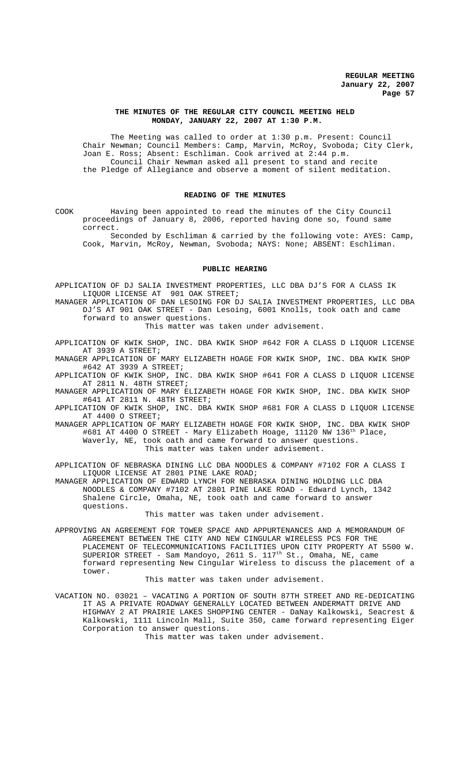## **THE MINUTES OF THE REGULAR CITY COUNCIL MEETING HELD MONDAY, JANUARY 22, 2007 AT 1:30 P.M.**

The Meeting was called to order at 1:30 p.m. Present: Council Chair Newman; Council Members: Camp, Marvin, McRoy, Svoboda; City Clerk, Joan E. Ross; Absent: Eschliman. Cook arrived at 2:44 p.m. Council Chair Newman asked all present to stand and recite the Pledge of Allegiance and observe a moment of silent meditation.

## **READING OF THE MINUTES**

COOK Having been appointed to read the minutes of the City Council proceedings of January 8, 2006, reported having done so, found same correct.

Seconded by Eschliman & carried by the following vote: AYES: Camp, Cook, Marvin, McRoy, Newman, Svoboda; NAYS: None; ABSENT: Eschliman.

#### **PUBLIC HEARING**

APPLICATION OF DJ SALIA INVESTMENT PROPERTIES, LLC DBA DJ'S FOR A CLASS IK LIQUOR LICENSE AT 901 OAK STREET;

MANAGER APPLICATION OF DAN LESOING FOR DJ SALIA INVESTMENT PROPERTIES, LLC DBA DJ'S AT 901 OAK STREET - Dan Lesoing, 6001 Knolls, took oath and came forward to answer questions.

This matter was taken under advisement.

APPLICATION OF KWIK SHOP, INC. DBA KWIK SHOP #642 FOR A CLASS D LIQUOR LICENSE AT 3939 A STREET;

MANAGER APPLICATION OF MARY ELIZABETH HOAGE FOR KWIK SHOP, INC. DBA KWIK SHOP #642 AT 3939 A STREET;

APPLICATION OF KWIK SHOP, INC. DBA KWIK SHOP #641 FOR A CLASS D LIQUOR LICENSE AT 2811 N. 48TH STREET;

MANAGER APPLICATION OF MARY ELIZABETH HOAGE FOR KWIK SHOP, INC. DBA KWIK SHOP #641 AT 2811 N. 48TH STREET;

APPLICATION OF KWIK SHOP, INC. DBA KWIK SHOP #681 FOR A CLASS D LIQUOR LICENSE AT 4400 O STREET;

MANAGER APPLICATION OF MARY ELIZABETH HOAGE FOR KWIK SHOP, INC. DBA KWIK SHOP #681 AT 4400 O STREET - Mary Elizabeth Hoage, 11120 NW 136th Place, Waverly, NE, took oath and came forward to answer questions.

This matter was taken under advisement.

APPLICATION OF NEBRASKA DINING LLC DBA NOODLES & COMPANY #7102 FOR A CLASS I LIQUOR LICENSE AT 2801 PINE LAKE ROAD;

MANAGER APPLICATION OF EDWARD LYNCH FOR NEBRASKA DINING HOLDING LLC DBA NOODLES & COMPANY #7102 AT 2801 PINE LAKE ROAD - Edward Lynch, 1342 Shalene Circle, Omaha, NE, took oath and came forward to answer questions.

This matter was taken under advisement.

APPROVING AN AGREEMENT FOR TOWER SPACE AND APPURTENANCES AND A MEMORANDUM OF AGREEMENT BETWEEN THE CITY AND NEW CINGULAR WIRELESS PCS FOR THE PLACEMENT OF TELECOMMUNICATIONS FACILITIES UPON CITY PROPERTY AT 5500 W. SUPERIOR STREET - Sam Mandoyo, 2611 S.  $117^{th}$  St., Omaha, NE, came forward representing New Cingular Wireless to discuss the placement of a tower.

#### This matter was taken under advisement.

VACATION NO. 03021 – VACATING A PORTION OF SOUTH 87TH STREET AND RE-DEDICATING IT AS A PRIVATE ROADWAY GENERALLY LOCATED BETWEEN ANDERMATT DRIVE AND HIGHWAY 2 AT PRAIRIE LAKES SHOPPING CENTER - DaNay Kalkowski, Seacrest & Kalkowski, 1111 Lincoln Mall, Suite 350, came forward representing Eiger Corporation to answer questions.

This matter was taken under advisement.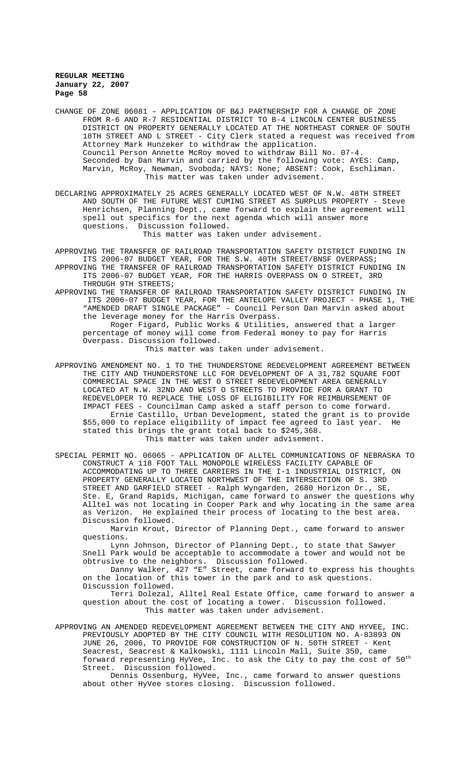CHANGE OF ZONE 06081 – APPLICATION OF B&J PARTNERSHIP FOR A CHANGE OF ZONE FROM R-6 AND R-7 RESIDENTIAL DISTRICT TO B-4 LINCOLN CENTER BUSINESS DISTRICT ON PROPERTY GENERALLY LOCATED AT THE NORTHEAST CORNER OF SOUTH 18TH STREET AND L STREET - City Clerk stated a request was received from Attorney Mark Hunzeker to withdraw the application. Council Person Annette McRoy moved to withdraw Bill No. 07-4. Seconded by Dan Marvin and carried by the following vote: AYES: Camp, Marvin, McRoy, Newman, Svoboda; NAYS: None; ABSENT: Cook, Eschliman. This matter was taken under advisement.

DECLARING APPROXIMATELY 25 ACRES GENERALLY LOCATED WEST OF N.W. 48TH STREET AND SOUTH OF THE FUTURE WEST CUMING STREET AS SURPLUS PROPERTY - Steve Henrichsen, Planning Dept., came forward to explain the agreement will spell out specifics for the next agenda which will answer more questions. Discussion followed.

This matter was taken under advisement.

APPROVING THE TRANSFER OF RAILROAD TRANSPORTATION SAFETY DISTRICT FUNDING IN ITS 2006-07 BUDGET YEAR, FOR THE S.W. 40TH STREET/BNSF OVERPASS; APPROVING THE TRANSFER OF RAILROAD TRANSPORTATION SAFETY DISTRICT FUNDING IN ITS 2006-07 BUDGET YEAR, FOR THE HARRIS OVERPASS ON O STREET, 3RD

THROUGH 9TH STREETS;

APPROVING THE TRANSFER OF RAILROAD TRANSPORTATION SAFETY DISTRICT FUNDING IN ITS 2006-07 BUDGET YEAR, FOR THE ANTELOPE VALLEY PROJECT - PHASE 1, THE "AMENDED DRAFT SINGLE PACKAGE" - Council Person Dan Marvin asked about the leverage money for the Harris Overpass.

Roger Figard, Public Works & Utilities, answered that a larger percentage of money will come from Federal money to pay for Harris Overpass. Discussion followed.

This matter was taken under advisement.

APPROVING AMENDMENT NO. 1 TO THE THUNDERSTONE REDEVELOPMENT AGREEMENT BETWEEN THE CITY AND THUNDERSTONE LLC FOR DEVELOPMENT OF A 31,782 SQUARE FOOT COMMERCIAL SPACE IN THE WEST O STREET REDEVELOPMENT AREA GENERALLY LOCATED AT N.W. 32ND AND WEST O STREETS TO PROVIDE FOR A GRANT TO REDEVELOPER TO REPLACE THE LOSS OF ELIGIBILITY FOR REIMBURSEMENT OF IMPACT FEES - Councilman Camp asked a staff person to come forward. Ernie Castillo, Urban Development, stated the grant is to provide \$55,000 to replace eligibility of impact fee agreed to last year. He stated this brings the grant total back to \$245,368. This matter was taken under advisement.

SPECIAL PERMIT NO. 06065 - APPLICATION OF ALLTEL COMMUNICATIONS OF NEBRASKA TO CONSTRUCT A 118 FOOT TALL MONOPOLE WIRELESS FACILITY CAPABLE OF ACCOMMODATING UP TO THREE CARRIERS IN THE I-1 INDUSTRIAL DISTRICT, ON PROPERTY GENERALLY LOCATED NORTHWEST OF THE INTERSECTION OF S. 3RD STREET AND GARFIELD STREET - Ralph Wyngarden, 2680 Horizon Dr., SE, Ste. E, Grand Rapids, Michigan, came forward to answer the questions why Alltel was not locating in Cooper Park and why locating in the same area as Verizon. He explained their process of locating to the best area. Discussion followed.

Marvin Krout, Director of Planning Dept., came forward to answer questions.

Lynn Johnson, Director of Planning Dept., to state that Sawyer Snell Park would be acceptable to accommodate a tower and would not be obtrusive to the neighbors. Discussion followed.

Danny Walker, 427 "E" Street, came forward to express his thoughts on the location of this tower in the park and to ask questions. Discussion followed.

Terri Dolezal, Alltel Real Estate Office, came forward to answer a question about the cost of locating a tower. Discussion followed. This matter was taken under advisement.

APPROVING AN AMENDED REDEVELOPMENT AGREEMENT BETWEEN THE CITY AND HYVEE, INC. PREVIOUSLY ADOPTED BY THE CITY COUNCIL WITH RESOLUTION NO. A-83893 ON JUNE 26, 2006, TO PROVIDE FOR CONSTRUCTION OF N. 50TH STREET - Kent Seacrest, Seacrest & Kalkowski, 1111 Lincoln Mall, Suite 350, came forward representing HyVee, Inc. to ask the City to pay the cost of  $50^{\text{th}}$ Street. Discussion followed.

Dennis Ossenburg, HyVee, Inc., came forward to answer questions about other HyVee stores closing. Discussion followed.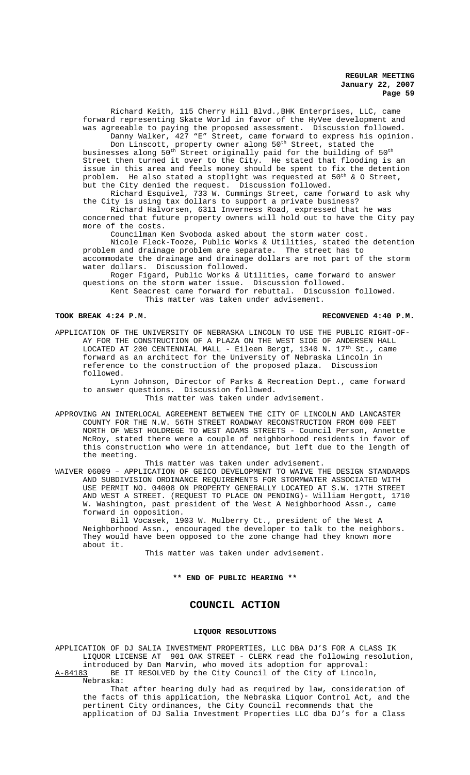Richard Keith, 115 Cherry Hill Blvd.,BHK Enterprises, LLC, came forward representing Skate World in favor of the HyVee development and was agreeable to paying the proposed assessment. Discussion followed. Danny Walker, 427 "E" Street, came forward to express his opinion.

Don Linscott, property owner along  $50^{\text{th}}$  Street, stated the businesses along  $50^{\rm th}$  Street originally paid for the building of  $50^{\rm th}$ Street then turned it over to the City. He stated that flooding is an issue in this area and feels money should be spent to fix the detention problem. He also stated a stoplight was requested at 50<sup>th</sup> & O Street, but the City denied the request. Discussion followed.

Richard Esquivel, 733 W. Cummings Street, came forward to ask why the City is using tax dollars to support a private business?

Richard Halvorsen, 6311 Inverness Road, expressed that he was concerned that future property owners will hold out to have the City pay more of the costs.

Councilman Ken Svoboda asked about the storm water cost.

Nicole Fleck-Tooze, Public Works & Utilities, stated the detention problem and drainage problem are separate. The street has to

accommodate the drainage and drainage dollars are not part of the storm water dollars. Discussion followed.

Roger Figard, Public Works & Utilities, came forward to answer questions on the storm water issue. Discussion followed.

Kent Seacrest came forward for rebuttal. Discussion followed. This matter was taken under advisement.

## **TOOK BREAK 4:24 P.M. RECONVENED 4:40 P.M.**

APPLICATION OF THE UNIVERSITY OF NEBRASKA LINCOLN TO USE THE PUBLIC RIGHT-OF-AY FOR THE CONSTRUCTION OF A PLAZA ON THE WEST SIDE OF ANDERSEN HALL LOCATED AT 200 CENTENNIAL MALL - Eileen Bergt, 1340 N. 17th St., came forward as an architect for the University of Nebraska Lincoln in reference to the construction of the proposed plaza. Discussion followed.

Lynn Johnson, Director of Parks & Recreation Dept., came forward to answer questions. Discussion followed.

This matter was taken under advisement.

APPROVING AN INTERLOCAL AGREEMENT BETWEEN THE CITY OF LINCOLN AND LANCASTER COUNTY FOR THE N.W. 56TH STREET ROADWAY RECONSTRUCTION FROM 600 FEET NORTH OF WEST HOLDREGE TO WEST ADAMS STREETS - Council Person, Annette McRoy, stated there were a couple of neighborhood residents in favor of this construction who were in attendance, but left due to the length of the meeting.

This matter was taken under advisement.

WAIVER 06009 – APPLICATION OF GEICO DEVELOPMENT TO WAIVE THE DESIGN STANDARDS AND SUBDIVISION ORDINANCE REQUIREMENTS FOR STORMWATER ASSOCIATED WITH USE PERMIT NO. 04008 ON PROPERTY GENERALLY LOCATED AT S.W. 17TH STREET AND WEST A STREET. (REQUEST TO PLACE ON PENDING)- William Hergott, 1710 W. Washington, past president of the West A Neighborhood Assn., came forward in opposition.

Bill Vocasek, 1903 W. Mulberry Ct., president of the West A Neighborhood Assn., encouraged the developer to talk to the neighbors. They would have been opposed to the zone change had they known more about it.

This matter was taken under advisement.

**\*\* END OF PUBLIC HEARING \*\***

# **COUNCIL ACTION**

## **LIQUOR RESOLUTIONS**

APPLICATION OF DJ SALIA INVESTMENT PROPERTIES, LLC DBA DJ'S FOR A CLASS IK LIQUOR LICENSE AT 901 OAK STREET - CLERK read the following resolution,

introduced by Dan Marvin, who moved its adoption for approval: A-84183 BE IT RESOLVED by the City Council of the City of Lincoln, Nebraska:

That after hearing duly had as required by law, consideration of the facts of this application, the Nebraska Liquor Control Act, and the pertinent City ordinances, the City Council recommends that the application of DJ Salia Investment Properties LLC dba DJ's for a Class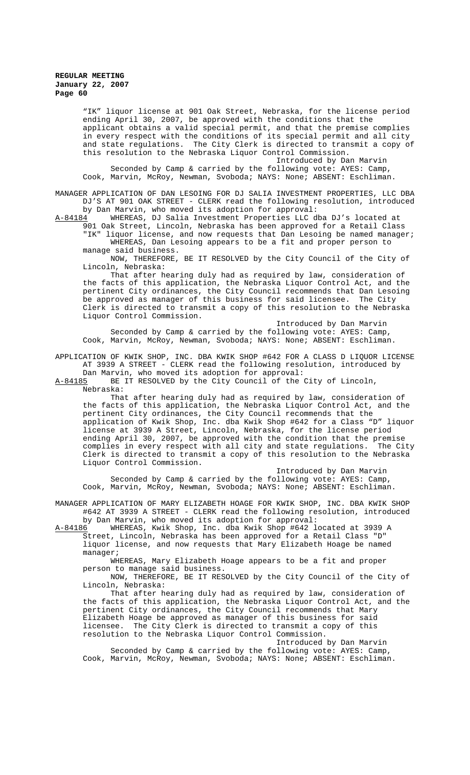"IK" liquor license at 901 Oak Street, Nebraska, for the license period ending April 30, 2007, be approved with the conditions that the applicant obtains a valid special permit, and that the premise complies in every respect with the conditions of its special permit and all city and state regulations. The City Clerk is directed to transmit a copy of this resolution to the Nebraska Liquor Control Commission.

Introduced by Dan Marvin Seconded by Camp & carried by the following vote: AYES: Camp, Cook, Marvin, McRoy, Newman, Svoboda; NAYS: None; ABSENT: Eschliman.

MANAGER APPLICATION OF DAN LESOING FOR DJ SALIA INVESTMENT PROPERTIES, LLC DBA DJ'S AT 901 OAK STREET - CLERK read the following resolution, introduced by Dan Marvin, who moved its adoption for approval:<br>A-84184 MHEREAS, DJ Salia Investment Properties LLC d

WHEREAS, DJ Salia Investment Properties LLC dba DJ's located at 901 Oak Street, Lincoln, Nebraska has been approved for a Retail Class "IK" liquor license, and now requests that Dan Lesoing be named manager;

WHEREAS, Dan Lesoing appears to be a fit and proper person to manage said business. NOW, THEREFORE, BE IT RESOLVED by the City Council of the City of

Lincoln, Nebraska:

That after hearing duly had as required by law, consideration of the facts of this application, the Nebraska Liquor Control Act, and the pertinent City ordinances, the City Council recommends that Dan Lesoing<br>be approved as manager of this business for said licensee. The City be approved as manager of this business for said licensee. Clerk is directed to transmit a copy of this resolution to the Nebraska Liquor Control Commission.

Introduced by Dan Marvin Seconded by Camp & carried by the following vote: AYES: Camp, Cook, Marvin, McRoy, Newman, Svoboda; NAYS: None; ABSENT: Eschliman.

APPLICATION OF KWIK SHOP, INC. DBA KWIK SHOP #642 FOR A CLASS D LIQUOR LICENSE AT 3939 A STREET - CLERK read the following resolution, introduced by Dan Marvin, who moved its adoption for approval:

A-84185 BE IT RESOLVED by the City Council of the City of Lincoln, Nebraska:

That after hearing duly had as required by law, consideration of the facts of this application, the Nebraska Liquor Control Act, and the pertinent City ordinances, the City Council recommends that the application of Kwik Shop, Inc. dba Kwik Shop #642 for a Class "D" liquor license at 3939 A Street, Lincoln, Nebraska, for the license period ending April 30, 2007, be approved with the condition that the premise complies in every respect with all city and state regulations. The City Clerk is directed to transmit a copy of this resolution to the Nebraska Liquor Control Commission.

Introduced by Dan Marvin

Seconded by Camp & carried by the following vote: AYES: Camp, Cook, Marvin, McRoy, Newman, Svoboda; NAYS: None; ABSENT: Eschliman.

MANAGER APPLICATION OF MARY ELIZABETH HOAGE FOR KWIK SHOP, INC. DBA KWIK SHOP #642 AT 3939 A STREET - CLERK read the following resolution, introduced by Dan Marvin, who moved its adoption for approval:<br>A-84186 MHEREAS, Kwik Shop, Inc. dba Kwik Shop #642 l

A-84186 WHEREAS, Kwik Shop, Inc. dba Kwik Shop #642 located at 3939 A Street, Lincoln, Nebraska has been approved for a Retail Class "D" liquor license, and now requests that Mary Elizabeth Hoage be named manager;

WHEREAS, Mary Elizabeth Hoage appears to be a fit and proper person to manage said business.

NOW, THEREFORE, BE IT RESOLVED by the City Council of the City of Lincoln, Nebraska:

That after hearing duly had as required by law, consideration of the facts of this application, the Nebraska Liquor Control Act, and the pertinent City ordinances, the City Council recommends that Mary Elizabeth Hoage be approved as manager of this business for said licensee. The City Clerk is directed to transmit a copy of this resolution to the Nebraska Liquor Control Commission.

Introduced by Dan Marvin Seconded by Camp & carried by the following vote: AYES: Camp,

Cook, Marvin, McRoy, Newman, Svoboda; NAYS: None; ABSENT: Eschliman.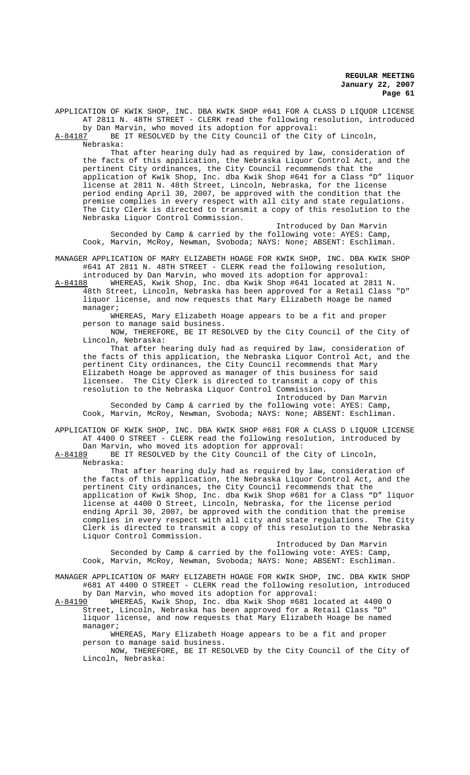APPLICATION OF KWIK SHOP, INC. DBA KWIK SHOP #641 FOR A CLASS D LIQUOR LICENSE AT 2811 N. 48TH STREET - CLERK read the following resolution, introduced by Dan Marvin, who moved its adoption for approval:

A-84187 BE IT RESOLVED by the City Council of the City of Lincoln, Nebraska:

That after hearing duly had as required by law, consideration of the facts of this application, the Nebraska Liquor Control Act, and the pertinent City ordinances, the City Council recommends that the application of Kwik Shop, Inc. dba Kwik Shop #641 for a Class "D" liquor license at 2811 N. 48th Street, Lincoln, Nebraska, for the license period ending April 30, 2007, be approved with the condition that the premise complies in every respect with all city and state regulations. The City Clerk is directed to transmit a copy of this resolution to the Nebraska Liquor Control Commission.

Introduced by Dan Marvin Seconded by Camp & carried by the following vote: AYES: Camp, Cook, Marvin, McRoy, Newman, Svoboda; NAYS: None; ABSENT: Eschliman.

MANAGER APPLICATION OF MARY ELIZABETH HOAGE FOR KWIK SHOP, INC. DBA KWIK SHOP #641 AT 2811 N. 48TH STREET - CLERK read the following resolution,

introduced by Dan Marvin, who moved its adoption for approval: A-84188 WHEREAS, Kwik Shop, Inc. dba Kwik Shop #641 located at 2811 N.

48th Street, Lincoln, Nebraska has been approved for a Retail Class "D" liquor license, and now requests that Mary Elizabeth Hoage be named manager;

WHEREAS, Mary Elizabeth Hoage appears to be a fit and proper person to manage said business.

NOW, THEREFORE, BE IT RESOLVED by the City Council of the City of Lincoln, Nebraska:

That after hearing duly had as required by law, consideration of the facts of this application, the Nebraska Liquor Control Act, and the pertinent City ordinances, the City Council recommends that Mary Elizabeth Hoage be approved as manager of this business for said licensee. The City Clerk is directed to transmit a copy of this resolution to the Nebraska Liquor Control Commission.

Introduced by Dan Marvin Seconded by Camp & carried by the following vote: AYES: Camp, Cook, Marvin, McRoy, Newman, Svoboda; NAYS: None; ABSENT: Eschliman.

APPLICATION OF KWIK SHOP, INC. DBA KWIK SHOP #681 FOR A CLASS D LIQUOR LICENSE AT 4400 O STREET - CLERK read the following resolution, introduced by Dan Marvin, who moved its adoption for approval:

A-84189 BE IT RESOLVED by the City Council of the City of Lincoln, Nebraska:

That after hearing duly had as required by law, consideration of the facts of this application, the Nebraska Liquor Control Act, and the pertinent City ordinances, the City Council recommends that the application of Kwik Shop, Inc. dba Kwik Shop #681 for a Class "D" liquor license at 4400 O Street, Lincoln, Nebraska, for the license period ending April 30, 2007, be approved with the condition that the premise complies in every respect with all city and state regulations. The City Clerk is directed to transmit a copy of this resolution to the Nebraska Liquor Control Commission.

Introduced by Dan Marvin Seconded by Camp & carried by the following vote: AYES: Camp, Cook, Marvin, McRoy, Newman, Svoboda; NAYS: None; ABSENT: Eschliman.

MANAGER APPLICATION OF MARY ELIZABETH HOAGE FOR KWIK SHOP, INC. DBA KWIK SHOP #681 AT 4400 O STREET - CLERK read the following resolution, introduced by Dan Marvin, who moved its adoption for approval:

A-84190 WHEREAS, Kwik Shop, Inc. dba Kwik Shop #681 located at 4400 O Street, Lincoln, Nebraska has been approved for a Retail Class "D" liquor license, and now requests that Mary Elizabeth Hoage be named manager;

WHEREAS, Mary Elizabeth Hoage appears to be a fit and proper person to manage said business.

NOW, THEREFORE, BE IT RESOLVED by the City Council of the City of Lincoln, Nebraska: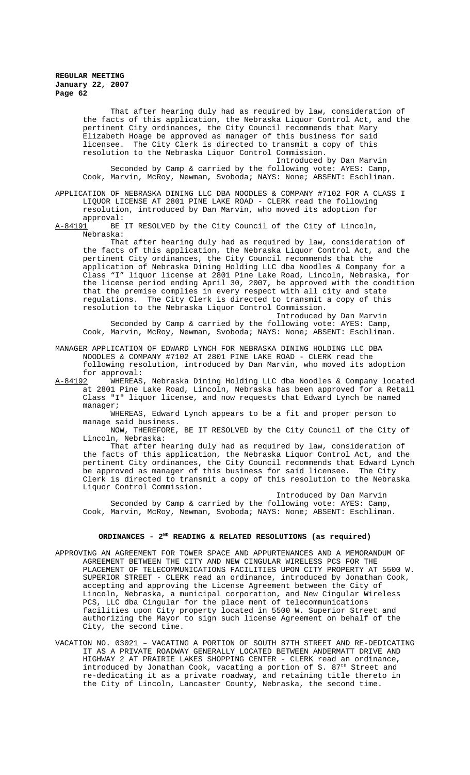That after hearing duly had as required by law, consideration of the facts of this application, the Nebraska Liquor Control Act, and the pertinent City ordinances, the City Council recommends that Mary Elizabeth Hoage be approved as manager of this business for said licensee. The City Clerk is directed to transmit a copy of this resolution to the Nebraska Liquor Control Commission. Introduced by Dan Marvin Seconded by Camp & carried by the following vote: AYES: Camp,

Cook, Marvin, McRoy, Newman, Svoboda; NAYS: None; ABSENT: Eschliman.

APPLICATION OF NEBRASKA DINING LLC DBA NOODLES & COMPANY #7102 FOR A CLASS I LIQUOR LICENSE AT 2801 PINE LAKE ROAD - CLERK read the following resolution, introduced by Dan Marvin, who moved its adoption for

approval:<br><u>A-84191</u> BE BE IT RESOLVED by the City Council of the City of Lincoln, Nebraska:

That after hearing duly had as required by law, consideration of the facts of this application, the Nebraska Liquor Control Act, and the pertinent City ordinances, the City Council recommends that the application of Nebraska Dining Holding LLC dba Noodles & Company for a Class "I" liquor license at 2801 Pine Lake Road, Lincoln, Nebraska, for the license period ending April 30, 2007, be approved with the condition that the premise complies in every respect with all city and state regulations. The City Clerk is directed to transmit a copy of this resolution to the Nebraska Liquor Control Commission.

Introduced by Dan Marvin Seconded by Camp & carried by the following vote: AYES: Camp, Cook, Marvin, McRoy, Newman, Svoboda; NAYS: None; ABSENT: Eschliman.

MANAGER APPLICATION OF EDWARD LYNCH FOR NEBRASKA DINING HOLDING LLC DBA NOODLES & COMPANY #7102 AT 2801 PINE LAKE ROAD - CLERK read the following resolution, introduced by Dan Marvin, who moved its adoption for approval:

A-84192 WHEREAS, Nebraska Dining Holding LLC dba Noodles & Company located at 2801 Pine Lake Road, Lincoln, Nebraska has been approved for a Retail Class "I" liquor license, and now requests that Edward Lynch be named manager;

WHEREAS, Edward Lynch appears to be a fit and proper person to manage said business.

NOW, THEREFORE, BE IT RESOLVED by the City Council of the City of Lincoln, Nebraska:

That after hearing duly had as required by law, consideration of the facts of this application, the Nebraska Liquor Control Act, and the pertinent City ordinances, the City Council recommends that Edward Lynch be approved as manager of this business for said licensee. The City Clerk is directed to transmit a copy of this resolution to the Nebraska Liquor Control Commission.

Introduced by Dan Marvin Seconded by Camp & carried by the following vote: AYES: Camp, Cook, Marvin, McRoy, Newman, Svoboda; NAYS: None; ABSENT: Eschliman.

## ORDINANCES - 2<sup>ND</sup> READING & RELATED RESOLUTIONS (as required)

- APPROVING AN AGREEMENT FOR TOWER SPACE AND APPURTENANCES AND A MEMORANDUM OF AGREEMENT BETWEEN THE CITY AND NEW CINGULAR WIRELESS PCS FOR THE PLACEMENT OF TELECOMMUNICATIONS FACILITIES UPON CITY PROPERTY AT 5500 W. SUPERIOR STREET - CLERK read an ordinance, introduced by Jonathan Cook, accepting and approving the License Agreement between the City of Lincoln, Nebraska, a municipal corporation, and New Cingular Wireless PCS, LLC dba Cingular for the place ment of telecommunications facilities upon City property located in 5500 W. Superior Street and authorizing the Mayor to sign such license Agreement on behalf of the City, the second time.
- VACATION NO. 03021 VACATING A PORTION OF SOUTH 87TH STREET AND RE-DEDICATING IT AS A PRIVATE ROADWAY GENERALLY LOCATED BETWEEN ANDERMATT DRIVE AND HIGHWAY 2 AT PRAIRIE LAKES SHOPPING CENTER - CLERK read an ordinance, introduced by Jonathan Cook, vacating a portion of S.  $87<sup>th</sup>$  Street and re-dedicating it as a private roadway, and retaining title thereto in the City of Lincoln, Lancaster County, Nebraska, the second time.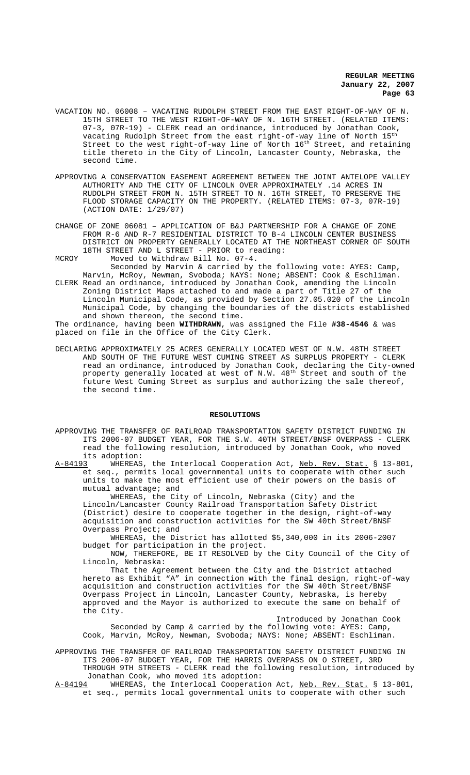- VACATION NO. 06008 VACATING RUDOLPH STREET FROM THE EAST RIGHT-OF-WAY OF N. 15TH STREET TO THE WEST RIGHT-OF-WAY OF N. 16TH STREET. (RELATED ITEMS: 07-3, 07R-19) - CLERK read an ordinance, introduced by Jonathan Cook, vacating Rudolph Street from the east right-of-way line of North 15th Street to the west right-of-way line of North  $16<sup>th</sup>$  Street, and retaining title thereto in the City of Lincoln, Lancaster County, Nebraska, the second time.
- APPROVING A CONSERVATION EASEMENT AGREEMENT BETWEEN THE JOINT ANTELOPE VALLEY AUTHORITY AND THE CITY OF LINCOLN OVER APPROXIMATELY .14 ACRES IN RUDOLPH STREET FROM N. 15TH STREET TO N. 16TH STREET, TO PRESERVE THE FLOOD STORAGE CAPACITY ON THE PROPERTY. (RELATED ITEMS: 07-3, 07R-19) (ACTION DATE: 1/29/07)
- CHANGE OF ZONE 06081 APPLICATION OF B&J PARTNERSHIP FOR A CHANGE OF ZONE FROM R-6 AND R-7 RESIDENTIAL DISTRICT TO B-4 LINCOLN CENTER BUSINESS DISTRICT ON PROPERTY GENERALLY LOCATED AT THE NORTHEAST CORNER OF SOUTH 18TH STREET AND L STREET - PRIOR to reading: MCROY Moved to Withdraw Bill No. 07-4.
- Seconded by Marvin & carried by the following vote: AYES: Camp, Marvin, McRoy, Newman, Svoboda; NAYS: None; ABSENT: Cook & Eschliman. CLERK Read an ordinance, introduced by Jonathan Cook, amending the Lincoln Zoning District Maps attached to and made a part of Title 27 of the Lincoln Municipal Code, as provided by Section 27.05.020 of the Lincoln Municipal Code, by changing the boundaries of the districts established
- and shown thereon, the second time. The ordinance, having been **WITHDRAWN**, was assigned the File **#38-4546** & was placed on file in the Office of the City Clerk.
- DECLARING APPROXIMATELY 25 ACRES GENERALLY LOCATED WEST OF N.W. 48TH STREET AND SOUTH OF THE FUTURE WEST CUMING STREET AS SURPLUS PROPERTY - CLERK read an ordinance, introduced by Jonathan Cook, declaring the City-owned property generally located at west of N.W.  $48^{\rm th}$  Street and south of the future West Cuming Street as surplus and authorizing the sale thereof, the second time.

#### **RESOLUTIONS**

APPROVING THE TRANSFER OF RAILROAD TRANSPORTATION SAFETY DISTRICT FUNDING IN ITS 2006-07 BUDGET YEAR, FOR THE S.W. 40TH STREET/BNSF OVERPASS - CLERK read the following resolution, introduced by Jonathan Cook, who moved its adoption:<br><u>A-84193</u> WHEREAS,

the Interlocal Cooperation Act, Neb. Rev. Stat. § 13-801, et seq., permits local governmental units to cooperate with other such units to make the most efficient use of their powers on the basis of mutual advantage; and

WHEREAS, the City of Lincoln, Nebraska (City) and the Lincoln/Lancaster County Railroad Transportation Safety District (District) desire to cooperate together in the design, right-of-way acquisition and construction activities for the SW 40th Street/BNSF Overpass Project; and

WHEREAS, the District has allotted \$5,340,000 in its 2006-2007 budget for participation in the project.

NOW, THEREFORE, BE IT RESOLVED by the City Council of the City of Lincoln, Nebraska:

That the Agreement between the City and the District attached hereto as Exhibit "A" in connection with the final design, right-of-way acquisition and construction activities for the SW 40th Street/BNSF Overpass Project in Lincoln, Lancaster County, Nebraska, is hereby approved and the Mayor is authorized to execute the same on behalf of the City.

Introduced by Jonathan Cook Seconded by Camp & carried by the following vote: AYES: Camp, Cook, Marvin, McRoy, Newman, Svoboda; NAYS: None; ABSENT: Eschliman.

APPROVING THE TRANSFER OF RAILROAD TRANSPORTATION SAFETY DISTRICT FUNDING IN ITS 2006-07 BUDGET YEAR, FOR THE HARRIS OVERPASS ON O STREET, 3RD THROUGH 9TH STREETS - CLERK read the following resolution, introduced by Jonathan Cook, who moved its adoption:

A-84194 WHEREAS, the Interlocal Cooperation Act, Neb. Rev. Stat. § 13-801, et seq., permits local governmental units to cooperate with other such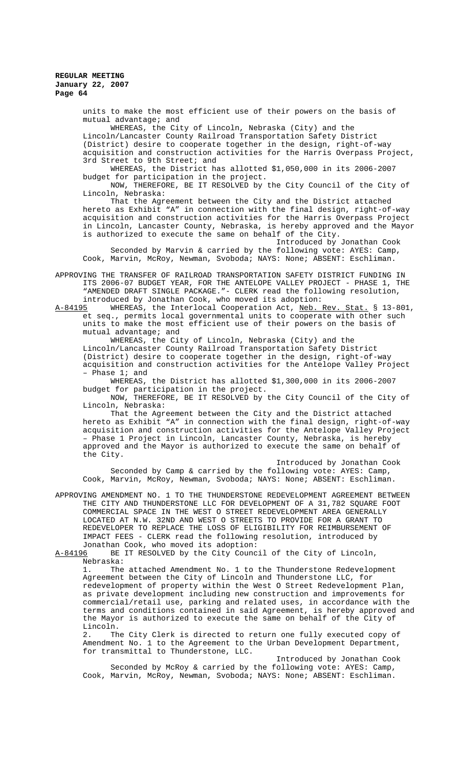units to make the most efficient use of their powers on the basis of mutual advantage; and

WHEREAS, the City of Lincoln, Nebraska (City) and the Lincoln/Lancaster County Railroad Transportation Safety District (District) desire to cooperate together in the design, right-of-way acquisition and construction activities for the Harris Overpass Project, 3rd Street to 9th Street; and

WHEREAS, the District has allotted \$1,050,000 in its 2006-2007 budget for participation in the project.

NOW, THEREFORE, BE IT RESOLVED by the City Council of the City of Lincoln, Nebraska:

That the Agreement between the City and the District attached hereto as Exhibit "A" in connection with the final design, right-of-way acquisition and construction activities for the Harris Overpass Project in Lincoln, Lancaster County, Nebraska, is hereby approved and the Mayor is authorized to execute the same on behalf of the City.

Introduced by Jonathan Cook Seconded by Marvin & carried by the following vote: AYES: Camp, Cook, Marvin, McRoy, Newman, Svoboda; NAYS: None; ABSENT: Eschliman.

APPROVING THE TRANSFER OF RAILROAD TRANSPORTATION SAFETY DISTRICT FUNDING IN ITS 2006-07 BUDGET YEAR, FOR THE ANTELOPE VALLEY PROJECT - PHASE 1, THE "AMENDED DRAFT SINGLE PACKAGE."- CLERK read the following resolution, introduced by Jonathan Cook, who moved its adoption:<br>A-84195 WHEREAS, the Interlocal Cooperation Act, Neb.

WHEREAS, the Interlocal Cooperation Act, Neb. Rev. Stat. § 13-801, et seq., permits local governmental units to cooperate with other such units to make the most efficient use of their powers on the basis of mutual advantage; and

WHEREAS, the City of Lincoln, Nebraska (City) and the Lincoln/Lancaster County Railroad Transportation Safety District (District) desire to cooperate together in the design, right-of-way acquisition and construction activities for the Antelope Valley Project – Phase 1; and

WHEREAS, the District has allotted \$1,300,000 in its 2006-2007 budget for participation in the project.

NOW, THEREFORE, BE IT RESOLVED by the City Council of the City of Lincoln, Nebraska:

That the Agreement between the City and the District attached hereto as Exhibit "A" in connection with the final design, right-of-way acquisition and construction activities for the Antelope Valley Project – Phase 1 Project in Lincoln, Lancaster County, Nebraska, is hereby approved and the Mayor is authorized to execute the same on behalf of the City.

Introduced by Jonathan Cook Seconded by Camp & carried by the following vote: AYES: Camp, Cook, Marvin, McRoy, Newman, Svoboda; NAYS: None; ABSENT: Eschliman.

APPROVING AMENDMENT NO. 1 TO THE THUNDERSTONE REDEVELOPMENT AGREEMENT BETWEEN THE CITY AND THUNDERSTONE LLC FOR DEVELOPMENT OF A 31,782 SQUARE FOOT COMMERCIAL SPACE IN THE WEST O STREET REDEVELOPMENT AREA GENERALLY LOCATED AT N.W. 32ND AND WEST O STREETS TO PROVIDE FOR A GRANT TO REDEVELOPER TO REPLACE THE LOSS OF ELIGIBILITY FOR REIMBURSEMENT OF IMPACT FEES - CLERK read the following resolution, introduced by

Jonathan Cook, who moved its adoption:<br>A-84196 BE IT RESOLVED by the City Counc BE IT RESOLVED by the City Council of the City of Lincoln,

Nebraska:<br>1. The The attached Amendment No. 1 to the Thunderstone Redevelopment Agreement between the City of Lincoln and Thunderstone LLC, for redevelopment of property within the West O Street Redevelopment Plan, as private development including new construction and improvements for commercial/retail use, parking and related uses, in accordance with the terms and conditions contained in said Agreement, is hereby approved and the Mayor is authorized to execute the same on behalf of the City of Lincoln.

2. The City Clerk is directed to return one fully executed copy of Amendment No. 1 to the Agreement to the Urban Development Department, for transmittal to Thunderstone, LLC.

Introduced by Jonathan Cook Seconded by McRoy & carried by the following vote: AYES: Camp, Cook, Marvin, McRoy, Newman, Svoboda; NAYS: None; ABSENT: Eschliman.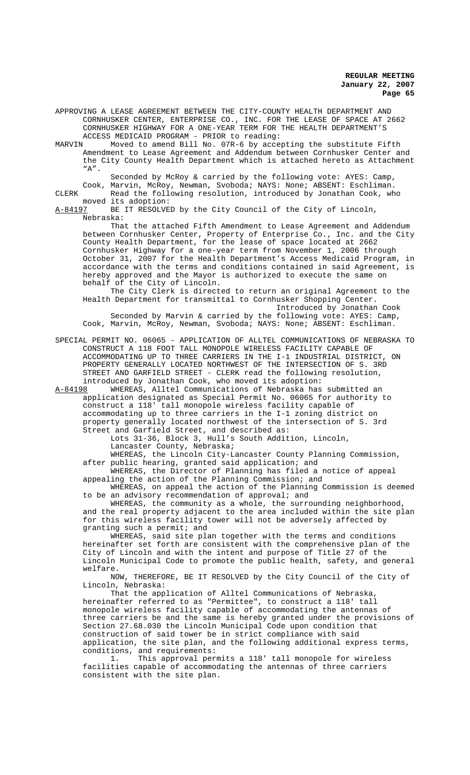APPROVING A LEASE AGREEMENT BETWEEN THE CITY-COUNTY HEALTH DEPARTMENT AND CORNHUSKER CENTER, ENTERPRISE CO., INC. FOR THE LEASE OF SPACE AT 2662 CORNHUSKER HIGHWAY FOR A ONE-YEAR TERM FOR THE HEALTH DEPARTMENT'S

ACCESS MEDICAID PROGRAM - PRIOR to reading:<br>MARVIN Moved to amend Bill No. 07R-6 by accent Moved to amend Bill No. 07R-6 by accepting the substitute Fifth Amendment to Lease Agreement and Addendum between Cornhusker Center and the City County Health Department which is attached hereto as Attachment  $"A"$ .

Seconded by McRoy & carried by the following vote: AYES: Camp, Cook, Marvin, McRoy, Newman, Svoboda; NAYS: None; ABSENT: Eschliman.

CLERK Read the following resolution, introduced by Jonathan Cook, who moved its adoption:<br>A-84197 BE IT RESOLVE

BE IT RESOLVED by the City Council of the City of Lincoln, Nebraska:

That the attached Fifth Amendment to Lease Agreement and Addendum between Cornhusker Center, Property of Enterprise Co., Inc. and the City County Health Department, for the lease of space located at 2662 Cornhusker Highway for a one-year term from November 1, 2006 through October 31, 2007 for the Health Department's Access Medicaid Program, in accordance with the terms and conditions contained in said Agreement, is hereby approved and the Mayor is authorized to execute the same on behalf of the City of Lincoln.

The City Clerk is directed to return an original Agreement to the Health Department for transmittal to Cornhusker Shopping Center. Introduced by Jonathan Cook

Seconded by Marvin & carried by the following vote: AYES: Camp, Cook, Marvin, McRoy, Newman, Svoboda; NAYS: None; ABSENT: Eschliman.

SPECIAL PERMIT NO. 06065 - APPLICATION OF ALLTEL COMMUNICATIONS OF NEBRASKA TO CONSTRUCT A 118 FOOT TALL MONOPOLE WIRELESS FACILITY CAPABLE OF ACCOMMODATING UP TO THREE CARRIERS IN THE I-1 INDUSTRIAL DISTRICT, ON PROPERTY GENERALLY LOCATED NORTHWEST OF THE INTERSECTION OF S. 3RD STREET AND GARFIELD STREET - CLERK read the following resolution, introduced by Jonathan Cook, who moved its adoption:

A-84198 WHEREAS, Alltel Communications of Nebraska has submitted an application designated as Special Permit No. 06065 for authority to construct a 118' tall monopole wireless facility capable of accommodating up to three carriers in the I-1 zoning district on property generally located northwest of the intersection of S. 3rd Street and Garfield Street, and described as:

Lots 31-36, Block 3, Hull's South Addition, Lincoln,

Lancaster County, Nebraska;

WHEREAS, the Lincoln City-Lancaster County Planning Commission, after public hearing, granted said application; and

WHEREAS, the Director of Planning has filed a notice of appeal appealing the action of the Planning Commission; and

WHEREAS, on appeal the action of the Planning Commission is deemed to be an advisory recommendation of approval; and

WHEREAS, the community as a whole, the surrounding neighborhood, and the real property adjacent to the area included within the site plan for this wireless facility tower will not be adversely affected by granting such a permit; and

WHEREAS, said site plan together with the terms and conditions hereinafter set forth are consistent with the comprehensive plan of the City of Lincoln and with the intent and purpose of Title 27 of the Lincoln Municipal Code to promote the public health, safety, and general welfare.

NOW, THEREFORE, BE IT RESOLVED by the City Council of the City of Lincoln, Nebraska:

That the application of Alltel Communications of Nebraska, hereinafter referred to as "Permittee", to construct a 118' tall monopole wireless facility capable of accommodating the antennas of three carriers be and the same is hereby granted under the provisions of Section 27.68.030 the Lincoln Municipal Code upon condition that construction of said tower be in strict compliance with said application, the site plan, and the following additional express terms, conditions, and requirements:

1. This approval permits a 118' tall monopole for wireless facilities capable of accommodating the antennas of three carriers consistent with the site plan.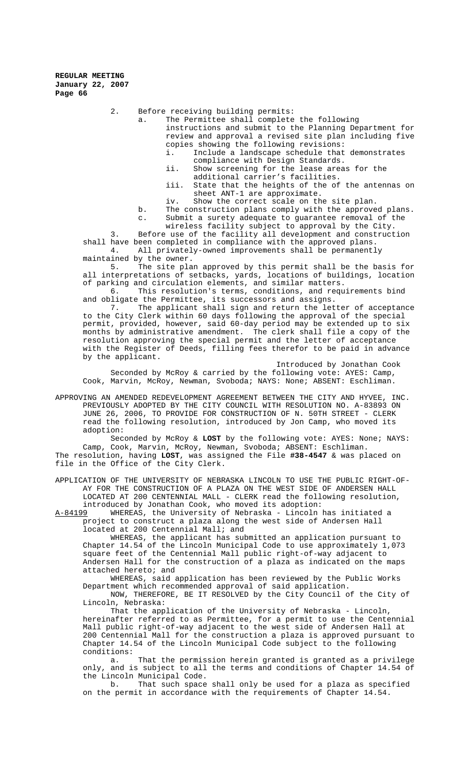2. Before receiving building permits:

a. The Permittee shall complete the following instructions and submit to the Planning Department for review and approval a revised site plan including five

copies showing the following revisions: Include a landscape schedule that demonstrates compliance with Design Standards.

ii. Show screening for the lease areas for the additional carrier's facilities.

iii. State that the heights of the of the antennas on sheet ANT-1 are approximate.

iv. Show the correct scale on the site plan.

b. The construction plans comply with the approved plans.

c. Submit a surety adequate to guarantee removal of the

wireless facility subject to approval by the City.

3. Before use of the facility all development and construction shall have been completed in compliance with the approved plans.<br>4. All privately-owned improvements shall be permanentl All privately-owned improvements shall be permanently maintained by the owner.

5. The site plan approved by this permit shall be the basis for all interpretations of setbacks, yards, locations of buildings, location of parking and circulation elements, and similar matters.

6. This resolution's terms, conditions, and requirements bind and obligate the Permittee, its successors and assigns.

7. The applicant shall sign and return the letter of acceptance to the City Clerk within 60 days following the approval of the special permit, provided, however, said 60-day period may be extended up to six months by administrative amendment. The clerk shall file a copy of the resolution approving the special permit and the letter of acceptance with the Register of Deeds, filling fees therefor to be paid in advance by the applicant.

Introduced by Jonathan Cook Seconded by McRoy & carried by the following vote: AYES: Camp, Cook, Marvin, McRoy, Newman, Svoboda; NAYS: None; ABSENT: Eschliman.

APPROVING AN AMENDED REDEVELOPMENT AGREEMENT BETWEEN THE CITY AND HYVEE, INC. PREVIOUSLY ADOPTED BY THE CITY COUNCIL WITH RESOLUTION NO. A-83893 ON JUNE 26, 2006, TO PROVIDE FOR CONSTRUCTION OF N. 50TH STREET - CLERK read the following resolution, introduced by Jon Camp, who moved its adoption:

Seconded by McRoy & **LOST** by the following vote: AYES: None; NAYS: Camp, Cook, Marvin, McRoy, Newman, Svoboda; ABSENT: Eschliman. The resolution, having **LOST**, was assigned the File **#38-4547** & was placed on file in the Office of the City Clerk.

APPLICATION OF THE UNIVERSITY OF NEBRASKA LINCOLN TO USE THE PUBLIC RIGHT-OF-AY FOR THE CONSTRUCTION OF A PLAZA ON THE WEST SIDE OF ANDERSEN HALL LOCATED AT 200 CENTENNIAL MALL - CLERK read the following resolution,

introduced by Jonathan Cook, who moved its adoption:<br>A-84199 WHEREAS, the University of Nebraska - Lincoln WHEREAS, the University of Nebraska - Lincoln has initiated a project to construct a plaza along the west side of Andersen Hall located at 200 Centennial Mall; and

WHEREAS, the applicant has submitted an application pursuant to Chapter 14.54 of the Lincoln Municipal Code to use approximately 1,073 square feet of the Centennial Mall public right-of-way adjacent to Andersen Hall for the construction of a plaza as indicated on the maps attached hereto; and

WHEREAS, said application has been reviewed by the Public Works Department which recommended approval of said application.

NOW, THEREFORE, BE IT RESOLVED by the City Council of the City of Lincoln, Nebraska:

That the application of the University of Nebraska - Lincoln, hereinafter referred to as Permittee, for a permit to use the Centennial Mall public right-of-way adjacent to the west side of Andersen Hall at 200 Centennial Mall for the construction a plaza is approved pursuant to Chapter 14.54 of the Lincoln Municipal Code subject to the following conditions:

That the permission herein granted is granted as a privilege only, and is subject to all the terms and conditions of Chapter 14.54 of the Lincoln Municipal Code.

b. That such space shall only be used for a plaza as specified on the permit in accordance with the requirements of Chapter 14.54.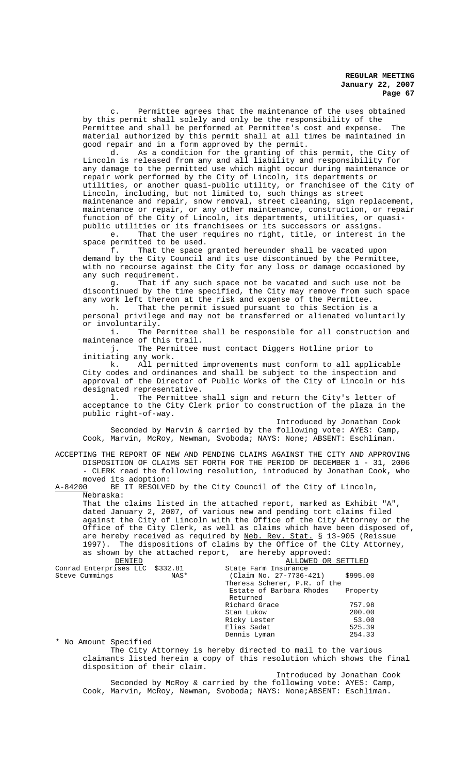c. Permittee agrees that the maintenance of the uses obtained by this permit shall solely and only be the responsibility of the Permittee and shall be performed at Permittee's cost and expense. The material authorized by this permit shall at all times be maintained in good repair and in a form approved by the permit.<br>d. As a condition for the granting of the

As a condition for the granting of this permit, the City of Lincoln is released from any and all liability and responsibility for any damage to the permitted use which might occur during maintenance or repair work performed by the City of Lincoln, its departments or utilities, or another quasi-public utility, or franchisee of the City of Lincoln, including, but not limited to, such things as street maintenance and repair, snow removal, street cleaning, sign replacement, maintenance or repair, or any other maintenance, construction, or repair function of the City of Lincoln, its departments, utilities, or quasipublic utilities or its franchisees or its successors or assigns.<br>e. That the user requires no right, title, or interest i

That the user requires no right, title, or interest in the space permitted to be used.

f. That the space granted hereunder shall be vacated upon demand by the City Council and its use discontinued by the Permittee, with no recourse against the City for any loss or damage occasioned by any such requirement.

g. That if any such space not be vacated and such use not be discontinued by the time specified, the City may remove from such space any work left thereon at the risk and expense of the Permittee. h. That the permit issued pursuant to this Section is a

personal privilege and may not be transferred or alienated voluntarily or involuntarily.<br>i. The P

The Permittee shall be responsible for all construction and maintenance of this trail.

j. The Permittee must contact Diggers Hotline prior to initiating any work.

k. All permitted improvements must conform to all applicable City codes and ordinances and shall be subject to the inspection and approval of the Director of Public Works of the City of Lincoln or his designated representative.

l. The Permittee shall sign and return the City's letter of acceptance to the City Clerk prior to construction of the plaza in the public right-of-way.

Introduced by Jonathan Cook Seconded by Marvin & carried by the following vote: AYES: Camp, Cook, Marvin, McRoy, Newman, Svoboda; NAYS: None; ABSENT: Eschliman.

ACCEPTING THE REPORT OF NEW AND PENDING CLAIMS AGAINST THE CITY AND APPROVING DISPOSITION OF CLAIMS SET FORTH FOR THE PERIOD OF DECEMBER 1 - 31, 2006 - CLERK read the following resolution, introduced by Jonathan Cook, who

moved its adoption:<br>A-84200 BE IT RESOLVE BE IT RESOLVED by the City Council of the City of Lincoln, Nebraska:

That the claims listed in the attached report, marked as Exhibit "A", dated January 2, 2007, of various new and pending tort claims filed against the City of Lincoln with the Office of the City Attorney or the Office of the City Clerk, as well as claims which have been disposed of, are hereby received as required by Neb. Rev. Stat. § 13-905 (Reissue 1997). The dispositions of claims by the Office of the City Attorney, as shown by the attached report, are hereby approved:

| DENIED                          |      | ALLOWED OR SETTLED           |          |
|---------------------------------|------|------------------------------|----------|
| Conrad Enterprises LLC \$332.81 |      | State Farm Insurance         |          |
| Steve Cummings                  | NAS* | (Claim No. 27-7736-421)      | \$995.00 |
|                                 |      | Theresa Scherer, P.R. of the |          |
|                                 |      | Estate of Barbara Rhodes     | Property |
|                                 |      | Returned                     |          |
|                                 |      | Richard Grace                | 757.98   |
|                                 |      | Stan Lukow                   | 200.00   |
|                                 |      | Ricky Lester                 | 53.00    |
|                                 |      | Elias Sadat                  | 525.39   |
|                                 |      | Dennis Lyman                 | 254.33   |
|                                 |      |                              |          |

\* No Amount Specified

The City Attorney is hereby directed to mail to the various claimants listed herein a copy of this resolution which shows the final disposition of their claim.

Introduced by Jonathan Cook Seconded by McRoy & carried by the following vote: AYES: Camp, Cook, Marvin, McRoy, Newman, Svoboda; NAYS: None;ABSENT: Eschliman.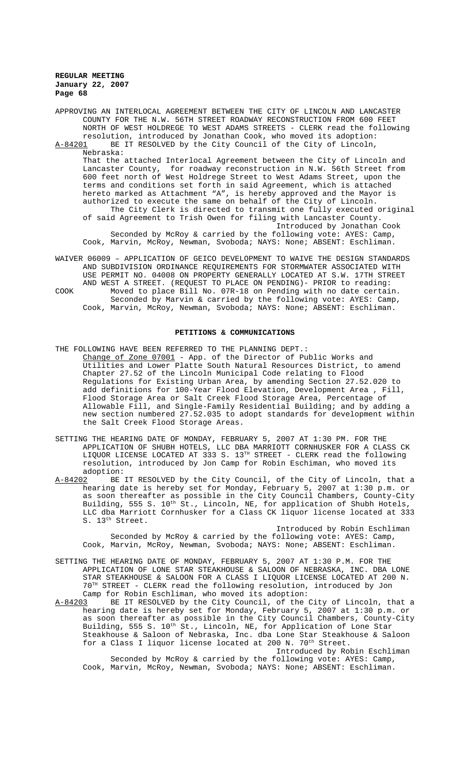APPROVING AN INTERLOCAL AGREEMENT BETWEEN THE CITY OF LINCOLN AND LANCASTER COUNTY FOR THE N.W. 56TH STREET ROADWAY RECONSTRUCTION FROM 600 FEET NORTH OF WEST HOLDREGE TO WEST ADAMS STREETS - CLERK read the following resolution, introduced by Jonathan Cook, who moved its adoption:<br>A-84201 BE IT RESOLVED by the City Council of the City of Lincoln, BE IT RESOLVED by the City Council of the City of Lincoln, Nebraska: That the attached Interlocal Agreement between the City of Lincoln and Lancaster County. for roadway reconstruction in N.W. 56th Street from for roadway reconstruction in N.W. 56th Street from 600 feet north of West Holdrege Street to West Adams Street, upon the terms and conditions set forth in said Agreement, which is attached hereto marked as Attachment "A", is hereby approved and the Mayor is authorized to execute the same on behalf of the City of Lincoln. The City Clerk is directed to transmit one fully executed original of said Agreement to Trish Owen for filing with Lancaster County. Introduced by Jonathan Cook Seconded by McRoy & carried by the following vote: AYES: Camp, Cook, Marvin, McRoy, Newman, Svoboda; NAYS: None; ABSENT: Eschliman.

WAIVER 06009 – APPLICATION OF GEICO DEVELOPMENT TO WAIVE THE DESIGN STANDARDS AND SUBDIVISION ORDINANCE REQUIREMENTS FOR STORMWATER ASSOCIATED WITH USE PERMIT NO. 04008 ON PROPERTY GENERALLY LOCATED AT S.W. 17TH STREET AND WEST A STREET. (REQUEST TO PLACE ON PENDING)- PRIOR to reading: COOK Moved to place Bill No. 07R-18 on Pending with no date certain. Seconded by Marvin & carried by the following vote: AYES: Camp, Cook, Marvin, McRoy, Newman, Svoboda; NAYS: None; ABSENT: Eschliman.

#### **PETITIONS & COMMUNICATIONS**

- THE FOLLOWING HAVE BEEN REFERRED TO THE PLANNING DEPT. : Change of Zone 07001 - App. of the Director of Public Works and Utilities and Lower Platte South Natural Resources District, to amend Chapter 27.52 of the Lincoln Municipal Code relating to Flood Regulations for Existing Urban Area, by amending Section 27.52.020 to add definitions for 100-Year Flood Elevation, Development Area , Fill, Flood Storage Area or Salt Creek Flood Storage Area, Percentage of Allowable Fill, and Single-Family Residential Building; and by adding a new section numbered 27.52.035 to adopt standards for development within the Salt Creek Flood Storage Areas.
- SETTING THE HEARING DATE OF MONDAY, FEBRUARY 5, 2007 AT 1:30 PM. FOR THE APPLICATION OF SHUBH HOTELS, LLC DBA MARRIOTT CORNHUSKER FOR A CLASS CK LIQUOR LICENSE LOCATED AT 333 S.  $13^{\text{TH}}$  STREET - CLERK read the following resolution, introduced by Jon Camp for Robin Eschiman, who moved its
- adoption:<br><u>A-84202</u> BE BE IT RESOLVED by the City Council, of the City of Lincoln, that a hearing date is hereby set for Monday, February 5, 2007 at 1:30 p.m. or as soon thereafter as possible in the City Council Chambers, County-City Building, 555 S. 10<sup>th</sup> St., Lincoln, NE, for application of Shubh Hotels, LLC dba Marriott Cornhusker for a Class CK liquor license located at 333 S. 13<sup>th</sup> Street.

Introduced by Robin Eschliman Seconded by McRoy & carried by the following vote: AYES: Camp, Cook, Marvin, McRoy, Newman, Svoboda; NAYS: None; ABSENT: Eschliman.

- SETTING THE HEARING DATE OF MONDAY, FEBRUARY 5, 2007 AT 1:30 P.M. FOR THE APPLICATION OF LONE STAR STEAKHOUSE & SALOON OF NEBRASKA, INC. DBA LONE STAR STEAKHOUSE & SALOON FOR A CLASS I LIQUOR LICENSE LOCATED AT 200 N. 70TH STREET - CLERK read the following resolution, introduced by Jon Camp for Robin Eschliman, who moved its adoption:
- A-84203 BE IT RESOLVED by the City Council, of the City of Lincoln, that a hearing date is hereby set for Monday, February 5, 2007 at 1:30 p.m. or as soon thereafter as possible in the City Council Chambers, County-City Building, 555 S. 10<sup>th</sup> St., Lincoln, NE, for Application of Lone Star Steakhouse & Saloon of Nebraska, Inc. dba Lone Star Steakhouse & Saloon for a Class I liquor license located at 200 N. 70<sup>th</sup> Street.

Introduced by Robin Eschliman Seconded by McRoy & carried by the following vote: AYES: Camp, Cook, Marvin, McRoy, Newman, Svoboda; NAYS: None; ABSENT: Eschliman.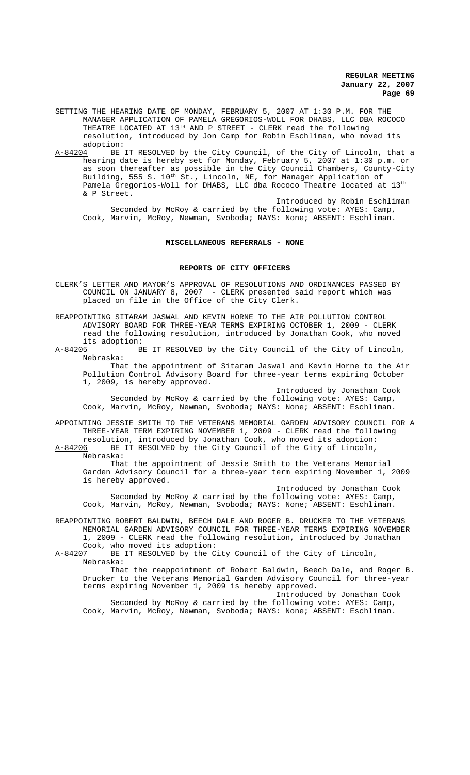- SETTING THE HEARING DATE OF MONDAY, FEBRUARY 5, 2007 AT 1:30 P.M. FOR THE MANAGER APPLICATION OF PAMELA GREGORIOS-WOLL FOR DHABS, LLC DBA ROCOCO THEATRE LOCATED AT  $13^{\text{\tiny{TH}}}$  AND P STREET - CLERK read the <code>following</code> resolution, introduced by Jon Camp for Robin Eschliman, who moved its
- adoption:<br> $A-84204$  BE BE IT RESOLVED by the City Council, of the City of Lincoln, that a hearing date is hereby set for Monday, February 5, 2007 at 1:30 p.m. or as soon thereafter as possible in the City Council Chambers, County-City Building, 555 S. 10<sup>th</sup> St., Lincoln, NE, for Manager Application of Pamela Gregorios-Woll for DHABS, LLC dba Rococo Theatre located at 13th & P Street.

Introduced by Robin Eschliman Seconded by McRoy & carried by the following vote: AYES: Camp, Cook, Marvin, McRoy, Newman, Svoboda; NAYS: None; ABSENT: Eschliman.

### **MISCELLANEOUS REFERRALS - NONE**

#### **REPORTS OF CITY OFFICERS**

CLERK'S LETTER AND MAYOR'S APPROVAL OF RESOLUTIONS AND ORDINANCES PASSED BY COUNCIL ON JANUARY 8, 2007 - CLERK presented said report which was placed on file in the Office of the City Clerk.

REAPPOINTING SITARAM JASWAL AND KEVIN HORNE TO THE AIR POLLUTION CONTROL ADVISORY BOARD FOR THREE-YEAR TERMS EXPIRING OCTOBER 1, 2009 - CLERK read the following resolution, introduced by Jonathan Cook, who moved its adoption:<br> $A-84205$  B

BE IT RESOLVED by the City Council of the City of Lincoln, Nebraska:

That the appointment of Sitaram Jaswal and Kevin Horne to the Air Pollution Control Advisory Board for three-year terms expiring October 1, 2009, is hereby approved.

Introduced by Jonathan Cook Seconded by McRoy & carried by the following vote: AYES: Camp, Cook, Marvin, McRoy, Newman, Svoboda; NAYS: None; ABSENT: Eschliman.

APPOINTING JESSIE SMITH TO THE VETERANS MEMORIAL GARDEN ADVISORY COUNCIL FOR A THREE-YEAR TERM EXPIRING NOVEMBER 1, 2009 - CLERK read the following

resolution, introduced by Jonathan Cook, who moved its adoption:<br>A-84206 BE IT RESOLVED by the City Council of the City of Lincoln, BE IT RESOLVED by the City Council of the City of Lincoln, Nebraska:

That the appointment of Jessie Smith to the Veterans Memorial Garden Advisory Council for a three-year term expiring November 1, 2009 is hereby approved.

Introduced by Jonathan Cook Seconded by McRoy & carried by the following vote: AYES: Camp, Cook, Marvin, McRoy, Newman, Svoboda; NAYS: None; ABSENT: Eschliman.

REAPPOINTING ROBERT BALDWIN, BEECH DALE AND ROGER B. DRUCKER TO THE VETERANS MEMORIAL GARDEN ADVISORY COUNCIL FOR THREE-YEAR TERMS EXPIRING NOVEMBER 1, 2009 - CLERK read the following resolution, introduced by Jonathan Cook, who moved its adoption:<br>A-84207 BE IT RESOLVED by the C

BE IT RESOLVED by the City Council of the City of Lincoln, Nebraska:

That the reappointment of Robert Baldwin, Beech Dale, and Roger B. Drucker to the Veterans Memorial Garden Advisory Council for three-year terms expiring November 1, 2009 is hereby approved.

Introduced by Jonathan Cook Seconded by McRoy & carried by the following vote: AYES: Camp, Cook, Marvin, McRoy, Newman, Svoboda; NAYS: None; ABSENT: Eschliman.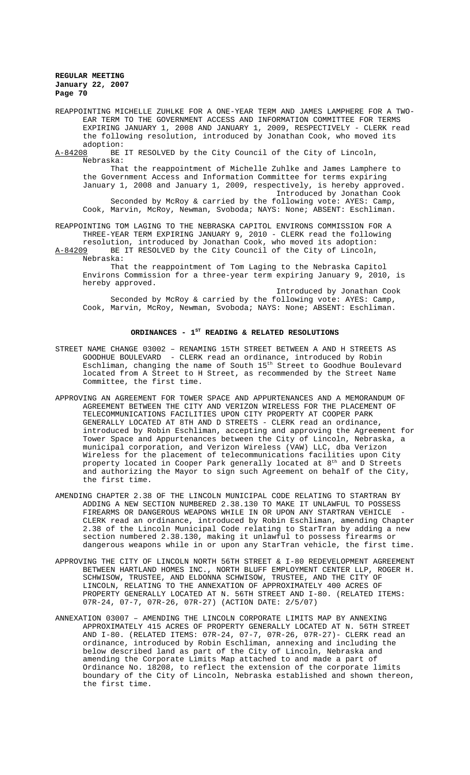REAPPOINTING MICHELLE ZUHLKE FOR A ONE-YEAR TERM AND JAMES LAMPHERE FOR A TWO-EAR TERM TO THE GOVERNMENT ACCESS AND INFORMATION COMMITTEE FOR TERMS EXPIRING JANUARY 1, 2008 AND JANUARY 1, 2009, RESPECTIVELY - CLERK read the following resolution, introduced by Jonathan Cook, who moved its adoption:<br><u>A-84208</u> BE

BE IT RESOLVED by the City Council of the City of Lincoln, Nebraska:

That the reappointment of Michelle Zuhlke and James Lamphere to the Government Access and Information Committee for terms expiring January 1, 2008 and January 1, 2009, respectively, is hereby approved. Introduced by Jonathan Cook

Seconded by McRoy & carried by the following vote: AYES: Camp, Cook, Marvin, McRoy, Newman, Svoboda; NAYS: None; ABSENT: Eschliman.

REAPPOINTING TOM LAGING TO THE NEBRASKA CAPITOL ENVIRONS COMMISSION FOR A THREE-YEAR TERM EXPIRING JANUARY 9, 2010 - CLERK read the following resolution, introduced by Jonathan Cook, who moved its adoption:

A-84209 BE IT RESOLVED by the City Council of the City of Lincoln, Nebraska:

That the reappointment of Tom Laging to the Nebraska Capitol Environs Commission for a three-year term expiring January 9, 2010, is hereby approved.

Introduced by Jonathan Cook Seconded by McRoy & carried by the following vote: AYES: Camp, Cook, Marvin, McRoy, Newman, Svoboda; NAYS: None; ABSENT: Eschliman.

## ORDINANCES -  $1^{ST}$  READING & RELATED RESOLUTIONS

- STREET NAME CHANGE 03002 RENAMING 15TH STREET BETWEEN A AND H STREETS AS GOODHUE BOULEVARD - CLERK read an ordinance, introduced by Robin Eschliman, changing the name of South 15<sup>th</sup> Street to Goodhue Boulevard located from A Street to H Street, as recommended by the Street Name Committee, the first time.
- APPROVING AN AGREEMENT FOR TOWER SPACE AND APPURTENANCES AND A MEMORANDUM OF AGREEMENT BETWEEN THE CITY AND VERIZON WIRELESS FOR THE PLACEMENT OF TELECOMMUNICATIONS FACILITIES UPON CITY PROPERTY AT COOPER PARK GENERALLY LOCATED AT 8TH AND D STREETS - CLERK read an ordinance, introduced by Robin Eschliman, accepting and approving the Agreement for Tower Space and Appurtenances between the City of Lincoln, Nebraska, a municipal corporation, and Verizon Wireless (VAW) LLC, dba Verizon Wireless for the placement of telecommunications facilities upon City property located in Cooper Park generally located at 8<sup>th</sup> and D Streets and authorizing the Mayor to sign such Agreement on behalf of the City, the first time.
- AMENDING CHAPTER 2.38 OF THE LINCOLN MUNICIPAL CODE RELATING TO STARTRAN BY ADDING A NEW SECTION NUMBERED 2.38.130 TO MAKE IT UNLAWFUL TO POSSESS FIREARMS OR DANGEROUS WEAPONS WHILE IN OR UPON ANY STARTRAN VEHICLE CLERK read an ordinance, introduced by Robin Eschliman, amending Chapter 2.38 of the Lincoln Municipal Code relating to StarTran by adding a new section numbered 2.38.130, making it unlawful to possess firearms or dangerous weapons while in or upon any StarTran vehicle, the first time.
- APPROVING THE CITY OF LINCOLN NORTH 56TH STREET & I-80 REDEVELOPMENT AGREEMENT BETWEEN HARTLAND HOMES INC., NORTH BLUFF EMPLOYMENT CENTER LLP, ROGER H. SCHWISOW, TRUSTEE, AND ELDONNA SCHWISOW, TRUSTEE, AND THE CITY OF LINCOLN, RELATING TO THE ANNEXATION OF APPROXIMATELY 400 ACRES OF PROPERTY GENERALLY LOCATED AT N. 56TH STREET AND I-80. (RELATED ITEMS: 07R-24, 07-7, 07R-26, 07R-27) (ACTION DATE: 2/5/07)
- ANNEXATION 03007 AMENDING THE LINCOLN CORPORATE LIMITS MAP BY ANNEXING APPROXIMATELY 415 ACRES OF PROPERTY GENERALLY LOCATED AT N. 56TH STREET AND I-80. (RELATED ITEMS: 07R-24, 07-7, 07R-26, 07R-27)- CLERK read an ordinance, introduced by Robin Eschliman, annexing and including the below described land as part of the City of Lincoln, Nebraska and amending the Corporate Limits Map attached to and made a part of Ordinance No. 18208, to reflect the extension of the corporate limits boundary of the City of Lincoln, Nebraska established and shown thereon, the first time.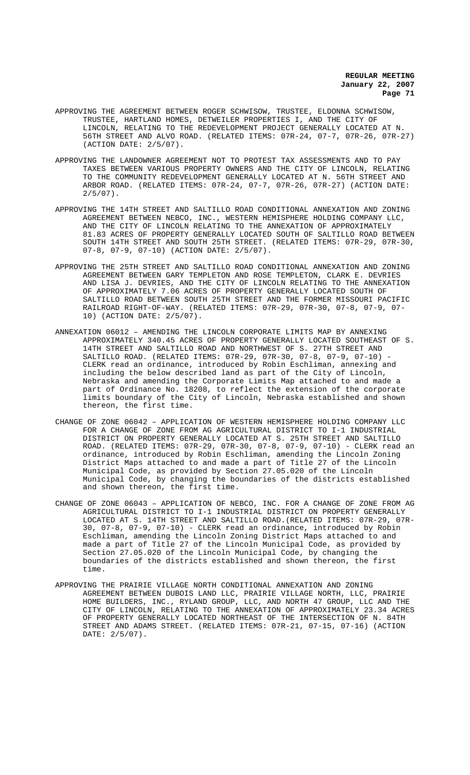- APPROVING THE AGREEMENT BETWEEN ROGER SCHWISOW, TRUSTEE, ELDONNA SCHWISOW, TRUSTEE, HARTLAND HOMES, DETWEILER PROPERTIES I, AND THE CITY OF LINCOLN, RELATING TO THE REDEVELOPMENT PROJECT GENERALLY LOCATED AT N. 56TH STREET AND ALVO ROAD. (RELATED ITEMS: 07R-24, 07-7, 07R-26, 07R-27) (ACTION DATE: 2/5/07).
- APPROVING THE LANDOWNER AGREEMENT NOT TO PROTEST TAX ASSESSMENTS AND TO PAY TAXES BETWEEN VARIOUS PROPERTY OWNERS AND THE CITY OF LINCOLN, RELATING TO THE COMMUNITY REDEVELOPMENT GENERALLY LOCATED AT N. 56TH STREET AND ARBOR ROAD. (RELATED ITEMS: 07R-24, 07-7, 07R-26, 07R-27) (ACTION DATE:  $2/5/07$ ).
- APPROVING THE 14TH STREET AND SALTILLO ROAD CONDITIONAL ANNEXATION AND ZONING AGREEMENT BETWEEN NEBCO, INC., WESTERN HEMISPHERE HOLDING COMPANY LLC, AND THE CITY OF LINCOLN RELATING TO THE ANNEXATION OF APPROXIMATELY 81.83 ACRES OF PROPERTY GENERALLY LOCATED SOUTH OF SALTILLO ROAD BETWEEN SOUTH 14TH STREET AND SOUTH 25TH STREET. (RELATED ITEMS: 07R-29, 07R-30, 07-8, 07-9, 07-10) (ACTION DATE: 2/5/07).
- APPROVING THE 25TH STREET AND SALTILLO ROAD CONDITIONAL ANNEXATION AND ZONING AGREEMENT BETWEEN GARY TEMPLETON AND ROSE TEMPLETON, CLARK E. DEVRIES AND LISA J. DEVRIES, AND THE CITY OF LINCOLN RELATING TO THE ANNEXATION OF APPROXIMATELY 7.06 ACRES OF PROPERTY GENERALLY LOCATED SOUTH OF SALTILLO ROAD BETWEEN SOUTH 25TH STREET AND THE FORMER MISSOURI PACIFIC RAILROAD RIGHT-OF-WAY. (RELATED ITEMS: 07R-29, 07R-30, 07-8, 07-9, 07- 10) (ACTION DATE: 2/5/07).
- ANNEXATION 06012 AMENDING THE LINCOLN CORPORATE LIMITS MAP BY ANNEXING APPROXIMATELY 340.45 ACRES OF PROPERTY GENERALLY LOCATED SOUTHEAST OF S. 14TH STREET AND SALTILLO ROAD AND NORTHWEST OF S. 27TH STREET AND SALTILLO ROAD. (RELATED ITEMS: 07R-29, 07R-30, 07-8, 07-9, 07-10) - CLERK read an ordinance, introduced by Robin Eschliman, annexing and including the below described land as part of the City of Lincoln, Nebraska and amending the Corporate Limits Map attached to and made a part of Ordinance No. 18208, to reflect the extension of the corporate limits boundary of the City of Lincoln, Nebraska established and shown thereon, the first time.
- CHANGE OF ZONE 06042 APPLICATION OF WESTERN HEMISPHERE HOLDING COMPANY LLC FOR A CHANGE OF ZONE FROM AG AGRICULTURAL DISTRICT TO I-1 INDUSTRIAL DISTRICT ON PROPERTY GENERALLY LOCATED AT S. 25TH STREET AND SALTILLO ROAD. (RELATED ITEMS: 07R-29, 07R-30, 07-8, 07-9, 07-10) - CLERK read an ordinance, introduced by Robin Eschliman, amending the Lincoln Zoning District Maps attached to and made a part of Title 27 of the Lincoln Municipal Code, as provided by Section 27.05.020 of the Lincoln Municipal Code, by changing the boundaries of the districts established and shown thereon, the first time.
- CHANGE OF ZONE 06043 APPLICATION OF NEBCO, INC. FOR A CHANGE OF ZONE FROM AG AGRICULTURAL DISTRICT TO I-1 INDUSTRIAL DISTRICT ON PROPERTY GENERALLY LOCATED AT S. 14TH STREET AND SALTILLO ROAD.(RELATED ITEMS: 07R-29, 07R-30, 07-8, 07-9, 07-10) - CLERK read an ordinance, introduced by Robin Eschliman, amending the Lincoln Zoning District Maps attached to and made a part of Title 27 of the Lincoln Municipal Code, as provided by Section 27.05.020 of the Lincoln Municipal Code, by changing the boundaries of the districts established and shown thereon, the first time.
- APPROVING THE PRAIRIE VILLAGE NORTH CONDITIONAL ANNEXATION AND ZONING AGREEMENT BETWEEN DUBOIS LAND LLC, PRAIRIE VILLAGE NORTH, LLC, PRAIRIE HOME BUILDERS, INC., RYLAND GROUP, LLC, AND NORTH 47 GROUP, LLC AND THE CITY OF LINCOLN, RELATING TO THE ANNEXATION OF APPROXIMATELY 23.34 ACRES OF PROPERTY GENERALLY LOCATED NORTHEAST OF THE INTERSECTION OF N. 84TH STREET AND ADAMS STREET. (RELATED ITEMS: 07R-21, 07-15, 07-16) (ACTION DATE: 2/5/07).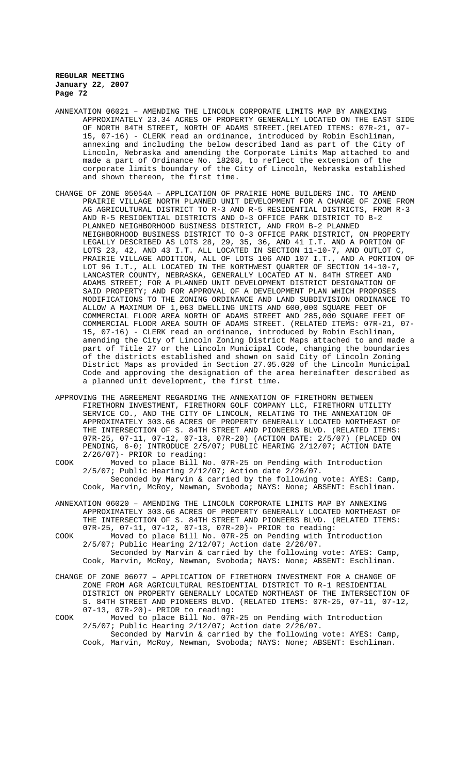- ANNEXATION 06021 AMENDING THE LINCOLN CORPORATE LIMITS MAP BY ANNEXING APPROXIMATELY 23.34 ACRES OF PROPERTY GENERALLY LOCATED ON THE EAST SIDE OF NORTH 84TH STREET, NORTH OF ADAMS STREET.(RELATED ITEMS: 07R-21, 07- 15, 07-16) - CLERK read an ordinance, introduced by Robin Eschliman, annexing and including the below described land as part of the City of Lincoln, Nebraska and amending the Corporate Limits Map attached to and made a part of Ordinance No. 18208, to reflect the extension of the corporate limits boundary of the City of Lincoln, Nebraska established and shown thereon, the first time.
- CHANGE OF ZONE 05054A APPLICATION OF PRAIRIE HOME BUILDERS INC. TO AMEND PRAIRIE VILLAGE NORTH PLANNED UNIT DEVELOPMENT FOR A CHANGE OF ZONE FROM AG AGRICULTURAL DISTRICT TO R-3 AND R-5 RESIDENTIAL DISTRICTS, FROM R-3 AND R-5 RESIDENTIAL DISTRICTS AND O-3 OFFICE PARK DISTRICT TO B-2 PLANNED NEIGHBORHOOD BUSINESS DISTRICT, AND FROM B-2 PLANNED NEIGHBORHOOD BUSINESS DISTRICT TO O-3 OFFICE PARK DISTRICT, ON PROPERTY LEGALLY DESCRIBED AS LOTS 28, 29, 35, 36, AND 41 I.T. AND A PORTION OF LOTS 23, 42, AND 43 I.T. ALL LOCATED IN SECTION 11-10-7, AND OUTLOT C, PRAIRIE VILLAGE ADDITION, ALL OF LOTS 106 AND 107 I.T., AND A PORTION OF LOT 96 I.T., ALL LOCATED IN THE NORTHWEST QUARTER OF SECTION 14-10-7, LANCASTER COUNTY, NEBRASKA, GENERALLY LOCATED AT N. 84TH STREET AND ADAMS STREET; FOR A PLANNED UNIT DEVELOPMENT DISTRICT DESIGNATION OF SAID PROPERTY; AND FOR APPROVAL OF A DEVELOPMENT PLAN WHICH PROPOSES MODIFICATIONS TO THE ZONING ORDINANCE AND LAND SUBDIVISION ORDINANCE TO ALLOW A MAXIMUM OF 1,063 DWELLING UNITS AND 600,000 SQUARE FEET OF COMMERCIAL FLOOR AREA NORTH OF ADAMS STREET AND 285,000 SQUARE FEET OF COMMERCIAL FLOOR AREA SOUTH OF ADAMS STREET. (RELATED ITEMS: 07R-21, 07- 15, 07-16) - CLERK read an ordinance, introduced by Robin Eschliman, amending the City of Lincoln Zoning District Maps attached to and made a part of Title 27 or the Lincoln Municipal Code, changing the boundaries of the districts established and shown on said City of Lincoln Zoning District Maps as provided in Section 27.05.020 of the Lincoln Municipal Code and approving the designation of the area hereinafter described as a planned unit development, the first time.
- APPROVING THE AGREEMENT REGARDING THE ANNEXATION OF FIRETHORN BETWEEN FIRETHORN INVESTMENT, FIRETHORN GOLF COMPANY LLC, FIRETHORN UTILITY SERVICE CO., AND THE CITY OF LINCOLN, RELATING TO THE ANNEXATION OF APPROXIMATELY 303.66 ACRES OF PROPERTY GENERALLY LOCATED NORTHEAST OF THE INTERSECTION OF S. 84TH STREET AND PIONEERS BLVD. (RELATED ITEMS: 07R-25, 07-11, 07-12, 07-13, 07R-20) (ACTION DATE: 2/5/07) (PLACED ON PENDING, 6-0; INTRODUCE 2/5/07; PUBLIC HEARING 2/12/07; ACTION DATE 2/26/07)- PRIOR to reading:
- COOK Moved to place Bill No. 07R-25 on Pending with Introduction 2/5/07; Public Hearing 2/12/07; Action date 2/26/07. Seconded by Marvin & carried by the following vote: AYES: Camp, Cook, Marvin, McRoy, Newman, Svoboda; NAYS: None; ABSENT: Eschliman.
- ANNEXATION 06020 AMENDING THE LINCOLN CORPORATE LIMITS MAP BY ANNEXING APPROXIMATELY 303.66 ACRES OF PROPERTY GENERALLY LOCATED NORTHEAST OF THE INTERSECTION OF S. 84TH STREET AND PIONEERS BLVD. (RELATED ITEMS: 07R-25, 07-11, 07-12, 07-13, 07R-20)- PRIOR to reading:
- COOK Moved to place Bill No. 07R-25 on Pending with Introduction 2/5/07; Public Hearing 2/12/07; Action date 2/26/07. Seconded by Marvin & carried by the following vote: AYES: Camp, Cook, Marvin, McRoy, Newman, Svoboda; NAYS: None; ABSENT: Eschliman.
- CHANGE OF ZONE 06077 APPLICATION OF FIRETHORN INVESTMENT FOR A CHANGE OF ZONE FROM AGR AGRICULTURAL RESIDENTIAL DISTRICT TO R-1 RESIDENTIAL DISTRICT ON PROPERTY GENERALLY LOCATED NORTHEAST OF THE INTERSECTION OF S. 84TH STREET AND PIONEERS BLVD. (RELATED ITEMS: 07R-25, 07-11, 07-12, 07-13, 07R-20)- PRIOR to reading:
- COOK Moved to place Bill No. 07R-25 on Pending with Introduction 2/5/07; Public Hearing 2/12/07; Action date 2/26/07. Seconded by Marvin & carried by the following vote: AYES: Camp, Cook, Marvin, McRoy, Newman, Svoboda; NAYS: None; ABSENT: Eschliman.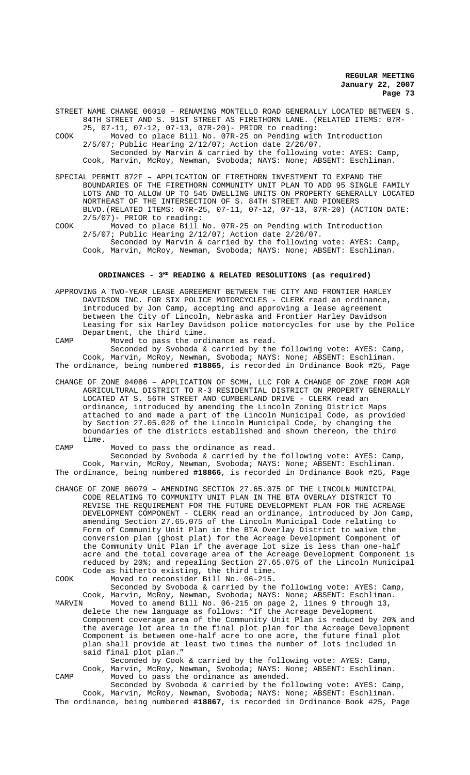STREET NAME CHANGE 06010 – RENAMING MONTELLO ROAD GENERALLY LOCATED BETWEEN S. 84TH STREET AND S. 91ST STREET AS FIRETHORN LANE. (RELATED ITEMS: 07R-

25, 07-11, 07-12, 07-13, 07R-20)- PRIOR to reading: COOK Moved to place Bill No. 07R-25 on Pending with Introduction 2/5/07; Public Hearing 2/12/07; Action date 2/26/07. Seconded by Marvin & carried by the following vote: AYES: Camp, Cook, Marvin, McRoy, Newman, Svoboda; NAYS: None; ABSENT: Eschliman.

SPECIAL PERMIT 872F – APPLICATION OF FIRETHORN INVESTMENT TO EXPAND THE BOUNDARIES OF THE FIRETHORN COMMUNITY UNIT PLAN TO ADD 95 SINGLE FAMILY LOTS AND TO ALLOW UP TO 545 DWELLING UNITS ON PROPERTY GENERALLY LOCATED NORTHEAST OF THE INTERSECTION OF S. 84TH STREET AND PIONEERS BLVD.(RELATED ITEMS: 07R-25, 07-11, 07-12, 07-13, 07R-20) (ACTION DATE: 2/5/07)- PRIOR to reading:

COOK Moved to place Bill No. 07R-25 on Pending with Introduction 2/5/07; Public Hearing 2/12/07; Action date 2/26/07. Seconded by Marvin & carried by the following vote: AYES: Camp,

Cook, Marvin, McRoy, Newman, Svoboda; NAYS: None; ABSENT: Eschliman.

# ORDINANCES -  $3^{RD}$  READING & RELATED RESOLUTIONS (as required)

APPROVING A TWO-YEAR LEASE AGREEMENT BETWEEN THE CITY AND FRONTIER HARLEY DAVIDSON INC. FOR SIX POLICE MOTORCYCLES - CLERK read an ordinance, introduced by Jon Camp, accepting and approving a lease agreement between the City of Lincoln, Nebraska and Frontier Harley Davidson Leasing for six Harley Davidson police motorcycles for use by the Police Department, the third time.

CAMP Moved to pass the ordinance as read. Seconded by Svoboda & carried by the following vote: AYES: Camp, Cook, Marvin, McRoy, Newman, Svoboda; NAYS: None; ABSENT: Eschliman. The ordinance, being numbered **#18865**, is recorded in Ordinance Book #25, Page

CHANGE OF ZONE 04086 – APPLICATION OF SCMH, LLC FOR A CHANGE OF ZONE FROM AGR AGRICULTURAL DISTRICT TO R-3 RESIDENTIAL DISTRICT ON PROPERTY GENERALLY LOCATED AT S. 56TH STREET AND CUMBERLAND DRIVE - CLERK read an ordinance, introduced by amending the Lincoln Zoning District Maps attached to and made a part of the Lincoln Municipal Code, as provided by Section 27.05.020 of the Lincoln Municipal Code, by changing the boundaries of the districts established and shown thereon, the third time.

CAMP Moved to pass the ordinance as read. Seconded by Svoboda & carried by the following vote: AYES: Camp, Cook, Marvin, McRoy, Newman, Svoboda; NAYS: None; ABSENT: Eschliman. The ordinance, being numbered **#18866**, is recorded in Ordinance Book #25, Page

CHANGE OF ZONE 06079 – AMENDING SECTION 27.65.075 OF THE LINCOLN MUNICIPAL CODE RELATING TO COMMUNITY UNIT PLAN IN THE BTA OVERLAY DISTRICT TO REVISE THE REQUIREMENT FOR THE FUTURE DEVELOPMENT PLAN FOR THE ACREAGE DEVELOPMENT COMPONENT - CLERK read an ordinance, introduced by Jon Camp, amending Section 27.65.075 of the Lincoln Municipal Code relating to Form of Community Unit Plan in the BTA Overlay District to waive the conversion plan (ghost plat) for the Acreage Development Component of the Community Unit Plan if the average lot size is less than one-half acre and the total coverage area of the Acreage Development Component is reduced by 20%; and repealing Section 27.65.075 of the Lincoln Municipal Code as hitherto existing, the third time.

COOK Moved to reconsider Bill No. 06-215.

Seconded by Svoboda & carried by the following vote: AYES: Camp, Cook, Marvin, McRoy, Newman, Svoboda; NAYS: None; ABSENT: Eschliman.<br>MARVIN Moved to amend Bill No. 06-215 on page 2, lines 9 through 13,

MARVIN Moved to amend Bill No. 06-215 on page 2, lines 9 through 13, delete the new language as follows: "If the Acreage Development Component coverage area of the Community Unit Plan is reduced by 20% and the average lot area in the final plot plan for the Acreage Development Component is between one-half acre to one acre, the future final plot plan shall provide at least two times the number of lots included in said final plot plan."

Seconded by Cook & carried by the following vote: AYES: Camp, Cook, Marvin, McRoy, Newman, Svoboda; NAYS: None; ABSENT: Eschliman. CAMP Moved to pass the ordinance as amended.

Seconded by Svoboda & carried by the following vote: AYES: Camp, Cook, Marvin, McRoy, Newman, Svoboda; NAYS: None; ABSENT: Eschliman. The ordinance, being numbered **#18867**, is recorded in Ordinance Book #25, Page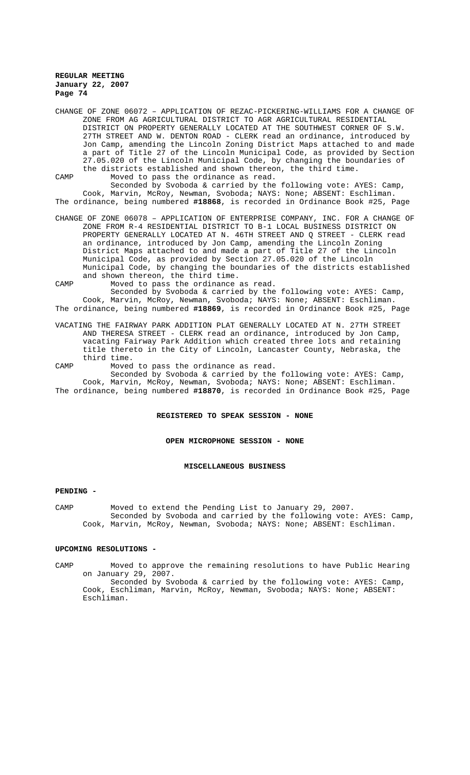CHANGE OF ZONE 06072 – APPLICATION OF REZAC-PICKERING-WILLIAMS FOR A CHANGE OF ZONE FROM AG AGRICULTURAL DISTRICT TO AGR AGRICULTURAL RESIDENTIAL DISTRICT ON PROPERTY GENERALLY LOCATED AT THE SOUTHWEST CORNER OF S.W. 27TH STREET AND W. DENTON ROAD - CLERK read an ordinance, introduced by Jon Camp, amending the Lincoln Zoning District Maps attached to and made a part of Title 27 of the Lincoln Municipal Code, as provided by Section 27.05.020 of the Lincoln Municipal Code, by changing the boundaries of the districts established and shown thereon, the third time. CAMP Moved to pass the ordinance as read.

Seconded by Svoboda & carried by the following vote: AYES: Camp, Cook, Marvin, McRoy, Newman, Svoboda; NAYS: None; ABSENT: Eschliman. The ordinance, being numbered **#18868**, is recorded in Ordinance Book #25, Page

CHANGE OF ZONE 06078 – APPLICATION OF ENTERPRISE COMPANY, INC. FOR A CHANGE OF ZONE FROM R-4 RESIDENTIAL DISTRICT TO B-1 LOCAL BUSINESS DISTRICT ON PROPERTY GENERALLY LOCATED AT N. 46TH STREET AND Q STREET - CLERK read an ordinance, introduced by Jon Camp, amending the Lincoln Zoning District Maps attached to and made a part of Title 27 of the Lincoln Municipal Code, as provided by Section 27.05.020 of the Lincoln Municipal Code, by changing the boundaries of the districts established and shown thereon, the third time.

CAMP Moved to pass the ordinance as read. Seconded by Svoboda & carried by the following vote: AYES: Camp, Cook, Marvin, McRoy, Newman, Svoboda; NAYS: None; ABSENT: Eschliman.

The ordinance, being numbered **#18869**, is recorded in Ordinance Book #25, Page

- VACATING THE FAIRWAY PARK ADDITION PLAT GENERALLY LOCATED AT N. 27TH STREET AND THERESA STREET - CLERK read an ordinance, introduced by Jon Camp, vacating Fairway Park Addition which created three lots and retaining title thereto in the City of Lincoln, Lancaster County, Nebraska, the third time.
- CAMP Moved to pass the ordinance as read. Seconded by Svoboda & carried by the following vote: AYES: Camp,

Cook, Marvin, McRoy, Newman, Svoboda; NAYS: None; ABSENT: Eschliman. The ordinance, being numbered **#18870**, is recorded in Ordinance Book #25, Page

## **REGISTERED TO SPEAK SESSION - NONE**

**OPEN MICROPHONE SESSION - NONE**

#### **MISCELLANEOUS BUSINESS**

#### **PENDING -**

CAMP Moved to extend the Pending List to January 29, 2007. Seconded by Svoboda and carried by the following vote: AYES: Camp, Cook, Marvin, McRoy, Newman, Svoboda; NAYS: None; ABSENT: Eschliman.

## **UPCOMING RESOLUTIONS -**

CAMP Moved to approve the remaining resolutions to have Public Hearing on January 29, 2007.

Seconded by Svoboda & carried by the following vote: AYES: Camp, Cook, Eschliman, Marvin, McRoy, Newman, Svoboda; NAYS: None; ABSENT: Eschliman.